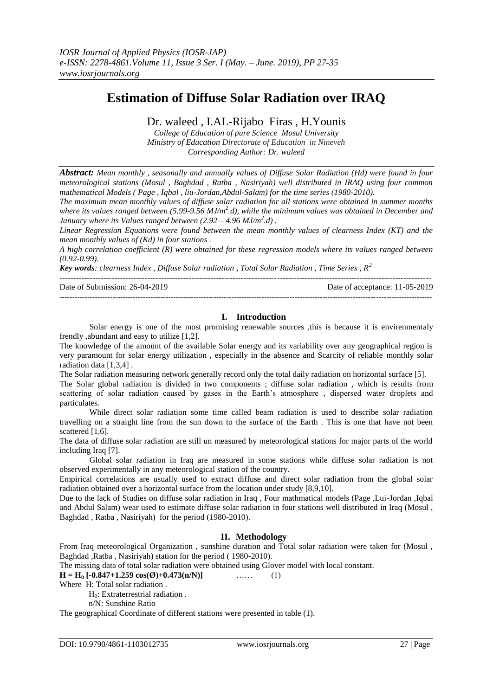# **Estimation of Diffuse Solar Radiation over IRAQ**

## Dr. waleed , I.AL-Rijabo Firas , H.Younis

*College of Education of pure Science Mosul University Ministry of Education Directorate of Education in Nineveh Corresponding Author: Dr. waleed*

*Abstract: Mean monthly , seasonally and annually values of Diffuse Solar Radiation (Hd) were found in four meteorological stations (Mosul , Baghdad , Ratba , Nasiriyah) well distributed in IRAQ using four common mathematical Models ( Page , Iqbal , liu-Jordan,Abdul-Salam) for the time series (1980-2010).* 

*The maximum mean monthly values of diffuse solar radiation for all stations were obtained in summer months*  where its values ranged between (5.99-9.56 MJ/m<sup>2</sup>.d), while the minimum values was obtained in December and *January where its Values ranged between (2.92 – 4.96 MJ/m<sup>2</sup> .d) .* 

*Linear Regression Equations were found between the mean monthly values of clearness Index (KT) and the mean monthly values of (Kd) in four stations .*

*A high correlation coefficient (R) were obtained for these regression models where its values ranged between (0.92-0.99).*

*Key words: clearness Index , Diffuse Solar radiation , Total Solar Radiation , Time Series , R<sup>2</sup>*

| Date of Submission: 26-04-2019 | Date of acceptance: 11-05-2019 |
|--------------------------------|--------------------------------|
|                                |                                |

### **I. Introduction**

Solar energy is one of the most promising renewable sources ,this is because it is envirenmentaly frendly ,abundant and easy to utilize [1,2].

The knowledge of the amount of the available Solar energy and its variability over any geographical region is very paramount for solar energy utilization , especially in the absence and Scarcity of reliable monthly solar radiation data [1,3,4] .

The Solar radiation measuring network generally record only the total daily radiation on horizontal surface [5].

The Solar global radiation is divided in two components ; diffuse solar radiation , which is results from scattering of solar radiation caused by gases in the Earth's atmosphere , dispersed water droplets and particulates.

While direct solar radiation some time called beam radiation is used to describe solar radiation travelling on a straight line from the sun down to the surface of the Earth . This is one that have not been scattered [1,6].

The data of diffuse solar radiation are still un measured by meteorological stations for major parts of the world including Iraq [7].

Global solar radiation in Iraq are measured in some stations while diffuse solar radiation is not observed experimentally in any meteorological station of the country.

Empirical correlations are usually used to extract diffuse and direct solar radiation from the global solar radiation obtained over a horizontal surface from the location under study [8,9,10].

Due to the lack of Studies on diffuse solar radiation in Iraq , Four mathmatical models (Page ,Lui-Jordan ,Iqbal and Abdul Salam) wear used to estimate diffuse solar radiation in four stations well distributed in Iraq (Mosul , Baghdad , Ratba , Nasiriyah) for the period (1980-2010).

#### **II. Methodology**

From Iraq meteorological Organization , sunshine duration and Total solar radiation were taken for (Mosul , Baghdad ,Ratba , Nasiriyah) station for the period ( 1980-2010).

The missing data of total solar radiation were obtained using Glover model with local constant.

 $H = H_0 [-0.847 + 1.259 \cos(\theta) + 0.473(n/N)]$  …… (1)

Where H: Total solar radiation .

H<sub>0</sub>: Extraterrestrial radiation.

n/N: Sunshine Ratio

The geographical Coordinate of different stations were presented in table (1).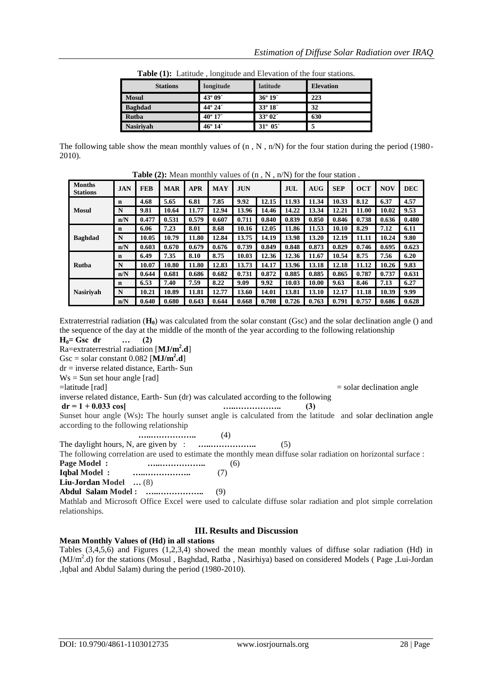| <b>Stations</b>  | longitude        | latitude            | <b>Elevation</b> |
|------------------|------------------|---------------------|------------------|
| <b>Mosul</b>     | 43° 09'          | $36^{\circ} 19'$    | 223              |
| <b>Baghdad</b>   | 44° 24'          | 33° 18 <sup>-</sup> | 32               |
| Rutba            | $40^{\circ} 17'$ | $33^{\circ}02'$     | 630              |
| <b>Nasiriyah</b> | 46° 14'          | $31^{\circ}~05'$    |                  |

**Table (1):** Latitude , longitude and Elevation of the four stations.

The following table show the mean monthly values of  $(n, N, n/N)$  for the four station during the period (1980-2010).

|                                  |            |            | <b>Table</b> (2). Incall monthly values of $\pi$ , $\pi$ , $\pi$ , $\pi$ ) for the four station. |            |            |            |       |       |            |            |            |            |            |
|----------------------------------|------------|------------|--------------------------------------------------------------------------------------------------|------------|------------|------------|-------|-------|------------|------------|------------|------------|------------|
| <b>Months</b><br><b>Stations</b> | <b>JAN</b> | <b>FEB</b> | <b>MAR</b>                                                                                       | <b>APR</b> | <b>MAY</b> | <b>JUN</b> |       | JUL   | <b>AUG</b> | <b>SEP</b> | <b>OCT</b> | <b>NOV</b> | <b>DEC</b> |
|                                  | n          | 4.68       | 5.65                                                                                             | 6.81       | 7.85       | 9.92       | 12.15 | 11.93 | 11.34      | 10.33      | 8.12       | 6.37       | 4.57       |
| Mosul                            | N          | 9.81       | 10.64                                                                                            | 11.77      | 12.94      | 13.96      | 14.46 | 14.22 | 13.34      | 12.21      | 11.00      | 10.02      | 9.53       |
|                                  | n/N        | 0.477      | 0.531                                                                                            | 0.579      | 0.607      | 0.711      | 0.840 | 0.839 | 0.850      | 0.846      | 0.738      | 0.636      | 0.480      |
|                                  | n          | 6.06       | 7.23                                                                                             | 8.01       | 8.68       | 10.16      | 12.05 | 11.86 | 11.53      | 10.10      | 8.29       | 7.12       | 6.11       |
| <b>Baghdad</b>                   | N          | 10.05      | 10.79                                                                                            | 11.80      | 12.84      | 13.75      | 14.19 | 13.98 | 13.20      | 12.19      | 11.11      | 10.24      | 9.80       |
|                                  | n/N        | 0.603      | 0.670                                                                                            | 0.679      | 0.676      | 0.739      | 0.849 | 0.848 | 0.873      | 0.829      | 0.746      | 0.695      | 0.623      |
|                                  | n          | 6.49       | 7.35                                                                                             | 8.10       | 8.75       | 10.03      | 12.36 | 12.36 | 11.67      | 10.54      | 8.75       | 7.56       | 6.20       |
| <b>Rutba</b>                     | N          | 10.07      | 10.80                                                                                            | 11.80      | 12.83      | 13.73      | 14.17 | 13.96 | 13.18      | 12.18      | 11.12      | 10.26      | 9.83       |
|                                  | n/N        | 0.644      | 0.681                                                                                            | 0.686      | 0.682      | 0.731      | 0.872 | 0.885 | 0.885      | 0.865      | 0.787      | 0.737      | 0.631      |
|                                  | n          | 6.53       | 7.40                                                                                             | 7.59       | 8.22       | 9.09       | 9.92  | 10.03 | 10.00      | 9.63       | 8.46       | 7.13       | 6.27       |
| <b>Nasirivah</b>                 | N          | 10.21      | 10.89                                                                                            | 11.81      | 12.77      | 13.60      | 14.01 | 13.81 | 13.10      | 12.17      | 11.18      | 10.39      | 9.99       |
|                                  | n/N        | 0.640      | 0.680                                                                                            | 0.643      | 0.644      | 0.668      | 0.708 | 0.726 | 0.763      | 0.791      | 0.757      | 0.686      | 0.628      |

Table (2): Mean monthly values of (n  $N$ , n/N) for the four station

Extraterrestrial radiation (**H0**) was calculated from the solar constant (Gsc) and the solar declination angle () and the sequence of the day at the middle of the month of the year according to the following relationship

 $H_0 = Gsc \, dr$  … (2)

Ra=extraterrestrial radiation [**MJ/m<sup>2</sup> .d**]  $Gsc = solar constant 0.082$  [ $MJ/m<sup>2</sup>$ **.d**]

dr = inverse related distance, Earth- Sun

 $Ws = Sun$  set hour angle [rad]

=latitude [rad] = solar declination angle

inverse related distance, Earth- Sun (dr) was calculated according to the following

 $dr = 1 + 0.033 \cos{\frac{(3)}{2}}$ 

Sunset hour angle (Ws)**:** The hourly sunset angle is calculated from the latitude and solar declination angle according to the following relationship

**…..……………..** (4)

The daylight hours, N, are given by : **………………….** (5)

The following correlation are used to estimate the monthly mean diffuse solar radiation on horizontal surface :

**Page Model : …..……………..** (6) **Iqbal Model : …..……………..** (7)

**Liu-Jordan Model …** (8)

**Abdul Salam Model : …..……………..** (9)

Mathlab and Microsoft Office Excel were used to calculate diffuse solar radiation and plot simple correlation relationships.

## **III. Results and Discussion**

#### **Mean Monthly Values of (Hd) in all stations**

Tables (3,4,5,6) and Figures (1,2,3,4) showed the mean monthly values of diffuse solar radiation (Hd) in (MJ/m<sup>2</sup>.d) for the stations (Mosul, Baghdad, Ratba, Nasirhiya) based on considered Models (Page, Lui-Jordan ,Iqbal and Abdul Salam) during the period (1980-2010).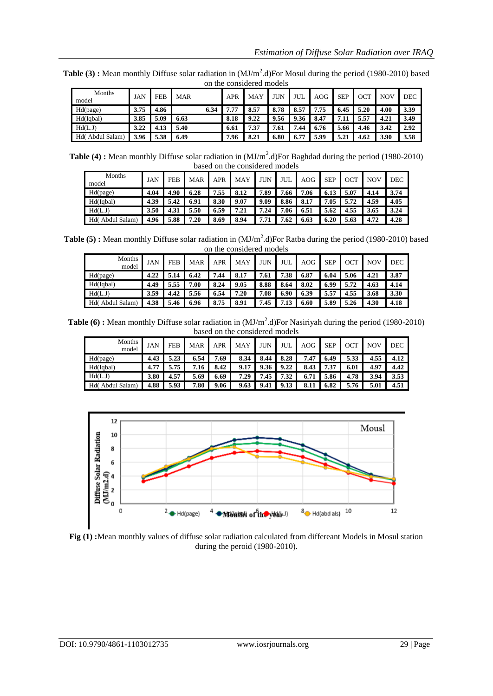|                     | on the considered moders |            |            |      |            |      |      |      |            |            |      |            |      |
|---------------------|--------------------------|------------|------------|------|------------|------|------|------|------------|------------|------|------------|------|
| Months<br>model     | JAN                      | <b>FEB</b> | <b>MAR</b> |      | <b>APR</b> | MAY  | JUN  | JUL  | <b>AOG</b> | <b>SEP</b> | OCT  | <b>NOV</b> | DEC  |
| Hd(page)            | 3.75                     | 4.86       |            | 6.34 | 1.77       | 8.57 | 8.78 | 8.57 | 7.75       | 6.45       | 5.20 | 4.00       | 3.39 |
| Hd(Iqbal)           | 3.85                     | 5.09       | 6.63       |      | 8.18       | 9.22 | 9.56 | 9.36 | 8.47       | 7.11       | 5.57 | 4.21       | 3.49 |
| Hd(LJ)              | 3.22                     | 4.13       | 5.40       |      | 6.61       | 7.37 | 7.61 | 7.44 | 6.76       | 5.66       | 4.46 | 3.42       | 2.92 |
| Abdul Salam)<br>Hd( | 3.96                     | 5.38       | 6.49       |      | 7.96       | 8.21 | 6.80 | 6.77 | 5.99       | 5.21       | 4.62 | 3.90       | 3.58 |

**Table (3):** Mean monthly Diffuse solar radiation in (MJ/m<sup>2</sup>.d)For Mosul during the period (1980-2010) based on the considered models

**Table (4):** Mean monthly Diffuse solar radiation in (MJ/m<sup>2</sup>.d)For Baghdad during the period (1980-2010) based on the considered models

| Months<br>model    | <b>JAN</b> | <b>FEB</b> | <b>MAR</b> | APR  | <b>MAY</b> | <b>JUN</b> | JUL  | AOG  | <b>SEP</b> | <b>OCT</b> | NOV  | DEC  |
|--------------------|------------|------------|------------|------|------------|------------|------|------|------------|------------|------|------|
| Hd(page)           | 4.04       | 4.90       | 6.28       | .55  | 8.12       | 7.89       | 7.66 | 7.06 | 6.13       | 5.07       | 4.14 | 3.74 |
| Hd(Iqbal)          | 4.39       | 5.42       | 6.91       | 8.30 | 9.07       | 9.09       | 8.86 | 8.17 | 7.05       | 5.72       | 4.59 | 4.05 |
| Hd(L.J)            | 3.50       | 4.31       | 5.50       | 6.59 | 7.21       | 7.24       | 7.06 | 6.51 | 5.62       | 4.55       | 3.65 | 3.24 |
| Abdul Salam<br>Hd( | 4.96       | 5.88       | 7.20       | 8.69 | 8.94       | 7.71       | 7.62 | 6.63 | 6.20       | 5.63       | 4.72 | 4.28 |

**Table (5):** Mean monthly Diffuse solar radiation in (MJ/m<sup>2</sup>.d)For Ratba during the period (1980-2010) based on the considered models

| Months<br>model     | <b>JAN</b> | <b>FEB</b> | <b>MAR</b> | <b>APR</b> | <b>MAY</b> | <b>JUN</b> | JUL  | AOG  | <b>SEP</b> | OCT  | <b>NOV</b> | <b>DEC</b> |
|---------------------|------------|------------|------------|------------|------------|------------|------|------|------------|------|------------|------------|
| Hd(page)            | 4.22       | 5.14       | 6.42       | 7.44       | 8.17       | 7.61       | 7.38 | 6.87 | 6.04       | 5.06 | 4.21       | 3.87       |
| Hd(Iqbal)           | 4.49       | 5.55       | 7.00       | 8.24       | 9.05       | 8.88       | 8.64 | 8.02 | 6.99       | 5.72 | 4.63       | 4.14       |
| Hd(L.J)             | 3.59       | 4.42       | 5.56       | 6.54       | 7.20       | 7.08       | 6.90 | 6.39 | 5.57       | 4.55 | 3.68       | 3.30       |
| Abdul Salam)<br>Hd( | 4.38       | 5.46       | 6.96       | 8.75       | 8.91       | 7.45       |      | 6.60 | 5.89       | 5.26 | 4.30       | 4.18       |

**Table (6) :** Mean monthly Diffuse solar radiation in (MJ/m<sup>2</sup>.d)For Nasiriyah during the period (1980-2010) based on the considered models

| Months<br>model    | <b>JAN</b> | <b>FEB</b> | <b>MAR</b> | <b>APR</b> | <b>MAY</b> | <b>JUN</b> | JUL  | AOG  | <b>SEP</b> | ОСТ  | <b>NOV</b> | <b>DEC</b> |
|--------------------|------------|------------|------------|------------|------------|------------|------|------|------------|------|------------|------------|
| Hd(page)           | 4.43       | 5.23       | 6.54       | .69        | 8.34       | 8.44       | 8.28 | 7.47 | 6.49       | 5.33 | 4.55       | 4.12       |
| Hd(Iqbal)          | 4.77       | 5.75       | 7.16       | 8.42       | 9.17       | 9.36       | 9.22 | 8.43 | 7.37       | 6.01 | 4.97       | 4.42       |
| Hd(L.J)            | 3.80       | 4.57       | 5.69       | 6.69       | 7.29       | 7.45       | 7.32 | 6.71 | 5.86       | 4.78 | 3.94       | 3.53       |
| Abdul Salam<br>Hd( | 4.88       | 5.93       | 7.80       | 9.06       | 9.63       | 9.41       | 9.13 |      | 6.82       | 5.76 | 5.01       | 4.51       |



**Fig (1) :**Mean monthly values of diffuse solar radiation calculated from differeant Models in Mosul station during the peroid (1980-2010).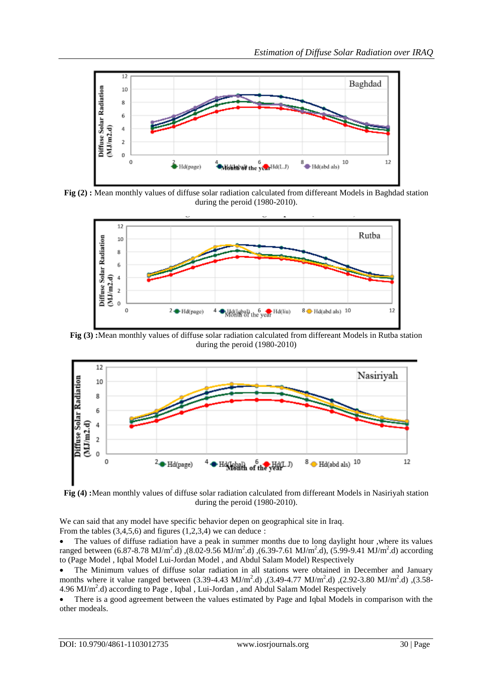

**Fig (2) :** Mean monthly values of diffuse solar radiation calculated from differeant Models in Baghdad station during the peroid (1980-2010).



**Fig (3) :**Mean monthly values of diffuse solar radiation calculated from differeant Models in Rutba station during the peroid (1980-2010)



**Fig (4) :**Mean monthly values of diffuse solar radiation calculated from differeant Models in Nasiriyah station during the peroid (1980-2010).

We can said that any model have specific behavior depen on geographical site in Iraq. From the tables  $(3,4,5,6)$  and figures  $(1,2,3,4)$  we can deduce :

 The values of diffuse radiation have a peak in summer months due to long daylight hour ,where its values ranged between (6.87-8.78 MJ/m<sup>2</sup>.d), (8.02-9.56 MJ/m<sup>2</sup>.d), (6.39-7.61 MJ/m<sup>2</sup>.d), (5.99-9.41 MJ/m<sup>2</sup>.d) according to (Page Model , Iqbal Model Lui-Jordan Model , and Abdul Salam Model) Respectively

 The Minimum values of diffuse solar radiation in all stations were obtained in December and January months where it value ranged between (3.39-4.43 MJ/m<sup>2</sup>.d), (3.49-4.77 MJ/m<sup>2</sup>.d), (2.92-3.80 MJ/m<sup>2</sup>.d), (3.58-4.96 MJ/m<sup>2</sup>.d) according to Page, Iqbal, Lui-Jordan, and Abdul Salam Model Respectively

 There is a good agreement between the values estimated by Page and Iqbal Models in comparison with the other modeals.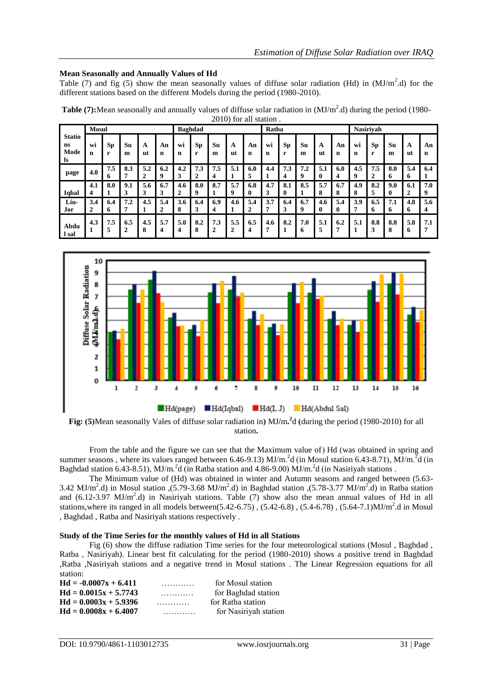#### **Mean Seasonally and Annually Values of Hd**

Table (7) and fig (5) show the mean seasonally values of diffuse solar radiation (Hd) in  $(MJ/m<sup>2</sup>.d)$  for the different stations based on the different Models during the period (1980-2010).

|                                   | <b>Mosul</b> |                |                       |          |                   |          | <b>Baghdad</b>   |                       |                       |                     | Ratba    |                |          |          |          |                   | <b>Nasirivah</b> |          |          |                       |
|-----------------------------------|--------------|----------------|-----------------------|----------|-------------------|----------|------------------|-----------------------|-----------------------|---------------------|----------|----------------|----------|----------|----------|-------------------|------------------|----------|----------|-----------------------|
| <b>Statio</b><br>ns<br>Mode<br>ls | Wi<br>n      | <b>Sp</b><br>r | Su<br>m               | A<br>ut  | An<br>$\mathbf n$ | Wĺ<br>n  | Sp<br>r          | Su<br>m               | A<br>ut               | An<br>n             | Wi<br>n  | <b>Sp</b><br>r | Su<br>m  | A<br>ut  | An<br>n  | wi<br>$\mathbf n$ | <b>Sp</b><br>r   | Su<br>m  | А<br>ut  | An<br>n               |
| page                              | 4.0          | 7.5<br>6       | 8.3                   | 5.2<br>2 | 6.2<br>9          | 4.2<br>3 | 7.3<br>2         | 1.5<br>7<br>4         | 5.1                   | 6.0<br>5            | 4.4      | 7.3<br>4       | 7.2<br>9 | 5.1<br>0 | 6.0<br>4 | 4.5<br>9          | 7.5<br>2         | 8.0<br>6 | 5.4<br>6 | 6.4                   |
|                                   | 4.1          | 8.0            | 9.1                   | 5.6      | 6.7               | 4.6      | 8.0              | 8.7                   | 5.7                   | 6.8                 | 4.7      | 8.1            | 8.5      | 5.7      | 6.7      | 4.9               | 8.2              | 9.0      | 6.1      | 7.0                   |
| Iqbal                             | 4            |                | 3                     | 3        | 3                 | 2        | $\boldsymbol{Q}$ |                       | 9                     | 0                   | 3        | $\mathbf{0}$   |          | 8        | 8        | 8                 | 5                | 0        | ↑        | 9                     |
| Liu-                              | 3.4          | 6.4            | 7.2                   | 4.5      | 5.4               | 3.6      | 6.4              | 6.9                   | 4.6                   | 5.4                 | 3.7      | 6.4            | 6.7      | 4.6      | 5.4      | 3.9               | 6.5              | 7.1      | 4.8      | 5.6                   |
| Jor                               | 2            | 6              |                       |          | 2                 | 8        | 3                | 4                     |                       | ↑<br>$\overline{a}$ |          | 3              | 9        | $\bf{0}$ | 0        | 7                 | o                | 6        | 6        | 4                     |
| Abdu<br>l sal                     | 4.3          | 7.5            | 6.5<br>$\overline{2}$ | 4.5<br>8 | 5.7<br>4          | 5.0      | 8.2<br>8         | 7.3<br>$\overline{2}$ | 5.5<br>$\overline{2}$ | 6.5<br>4            | 4.6<br>7 | 8.2            | 7.0<br>6 | 5.1<br>5 | 6.2<br>п | 5.1<br>1          | 8.8<br>3         | 8.8<br>8 | 5.8<br>0 | 7.1<br>$\overline{7}$ |

**Table (7):**Mean seasonally and annually values of diffuse solar radiation in (MJ/m<sup>2</sup>.d) during the period (1980-2010) for all station .



station**.**

From the table and the figure we can see that the Maximum value of) Hd (was obtained in spring and summer seasons, where its values ranged between 6.46-9.13) MJ/m.<sup>2</sup>d (in Mosul station 6.43-8.71), MJ/m.<sup>2</sup>d (in Baghdad station 6.43-8.51), MJ/m.<sup>2</sup>d (in Ratba station and 4.86-9.00) MJ/m.<sup>2</sup>d (in Nasiriyah stations.

The Minimum value of (Hd) was obtained in winter and Autumn seasons and ranged between (5.63- 3.42 MJ/m<sup>2</sup>.d) in Mosul station ,(5.79-3.68 MJ/m<sup>2</sup>.d) in Baghdad station ,(5.78-3.77 MJ/m<sup>2</sup>.d) in Ratba station and  $(6.12-3.97 \text{ MJ/m}^2.\text{d})$  in Nasiriyah stations. Table  $(7)$  show also the mean annual values of Hd in all stations, where its ranged in all models between(5.42-6.75),  $(5.42-6.8)$ ,  $(5.4-6.78)$ ,  $(5.64-7.1)$ MJ/m<sup>2</sup>.d in Mosul , Baghdad , Ratba and Nasiriyah stations respectively .

#### **Study of the Time Series for the monthly values of Hd in all Stations**

Fig (6) show the diffuse radiation Time series for the four meteorological stations (Mosul , Baghdad , Ratba , Nasiriyah). Linear best fit calculating for the period (1980-2010) shows a positive trend in Baghdad ,Ratba ,Nasiriyah stations and a negative trend in Mosul stations . The Linear Regression equations for all station:

| $Hd = -0.0007x + 6.411$ | . | for Mosul station     |
|-------------------------|---|-----------------------|
| $Hd = 0.0015x + 5.7743$ | . | for Baghdad station   |
| $Hd = 0.0003x + 5.9396$ |   | for Ratba station     |
| $Hd = 0.0008x + 6.4007$ |   | for Nasiriyah station |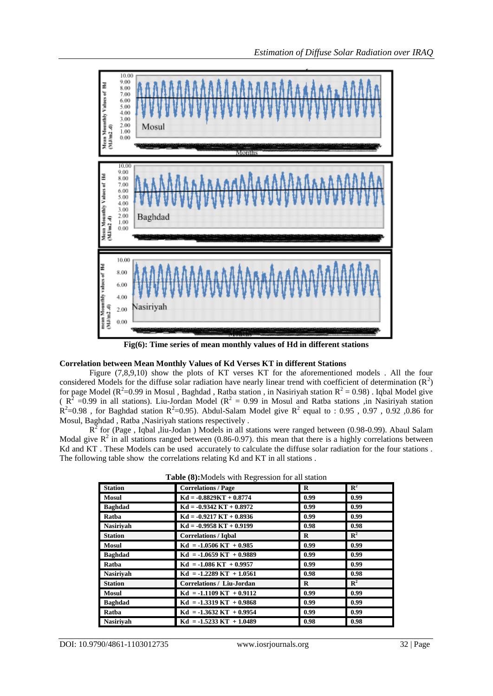

**Fig(6): Time series of mean monthly values of Hd in different stations**

#### **Correlation between Mean Monthly Values of Kd Verses KT in different Stations**

Figure (7,8,9,10) show the plots of KT verses KT for the aforementioned models . All the four considered Models for the diffuse solar radiation have nearly linear trend with coefficient of determination  $(R<sup>2</sup>)$ for page Model ( $R^2$ =0.99 in Mosul, Baghdad, Ratba station, in Nasiriyah station  $R^2$  = 0.98). Iqbal Model give ( $R^2$  =0.99 in all stations). Liu-Jordan Model ( $R^2$  = 0.99 in Mosul and Ratba stations ,in Nasiriyah station  $R^2$ =0.98, for Baghdad station  $R^2$ =0.95). Abdul-Salam Model give  $R^2$  equal to : 0.95, 0.97, 0.92, 0.86 for Mosul, Baghdad , Ratba ,Nasiriyah stations respectively .

 $R^2$  for (Page, Iqbal, liu-Jodan) Models in all stations were ranged between (0.98-0.99). Abaul Salam Modal give  $\mathbb{R}^2$  in all stations ranged between (0.86-0.97). this mean that there is a highly correlations between Kd and KT. These Models can be used accurately to calculate the diffuse solar radiation for the four stations. The following table show the correlations relating Kd and KT in all stations .

| <b>Station</b>   | <b>Correlations / Page</b>       | $\bf{R}$ | $\mathbb{R}^2$ |
|------------------|----------------------------------|----------|----------------|
| Mosul            | $Kd = -0.8829KT + 0.8774$        | 0.99     | 0.99           |
| <b>Baghdad</b>   | $Kd = -0.9342 KT + 0.8972$       | 0.99     | 0.99           |
| Ratba            | $Kd = -0.9217 KT + 0.8936$       | 0.99     | 0.99           |
| <b>Nasirivah</b> | $Kd = -0.9958 KT + 0.9199$       | 0.98     | 0.98           |
| <b>Station</b>   | <b>Correlations / Iqbal</b>      | $\bf{R}$ | $\mathbf{R}^2$ |
| <b>Mosul</b>     | $Kd = -1.0506 KT + 0.985$        | 0.99     | 0.99           |
| <b>Baghdad</b>   | $Kd = -1.0659 KT + 0.9889$       | 0.99     | 0.99           |
| Ratba            | $Kd = -1.086 KT + 0.9957$        | 0.99     | 0.99           |
| <b>Nasirivah</b> | $Kd = -1.2289 KT + 1.0561$       | 0.98     | 0.98           |
| <b>Station</b>   | <b>Correlations / Liu-Jordan</b> | $\bf{R}$ | $\mathbb{R}^2$ |
| <b>Mosul</b>     | $Kd = -1.1109 KT + 0.9112$       | 0.99     | 0.99           |
| <b>Baghdad</b>   | $Kd = -1.3319 KT + 0.9868$       | 0.99     | 0.99           |
| Ratba            | $Kd = -1.3632 KT + 0.9954$       | 0.99     | 0.99           |
| <b>Nasirivah</b> | $Kd = -1.5233 KT + 1.0489$       | 0.98     | 0.98           |

**Table (8):**Models with Regression for all station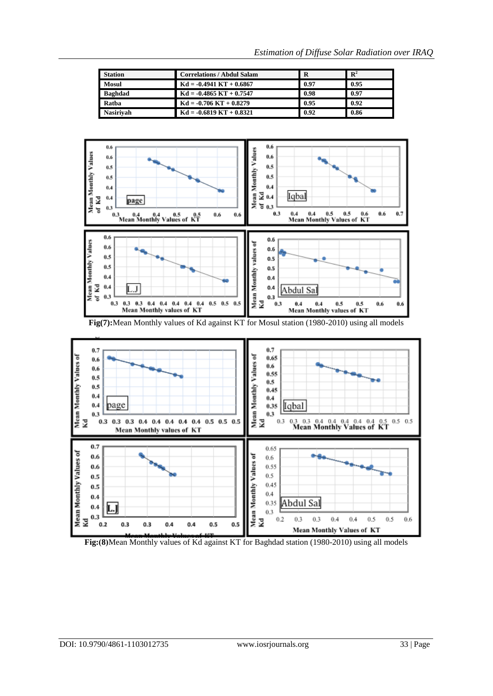| <b>Station</b>   | <b>Correlations / Abdul Salam</b> | R    | $\mathbf{R}^2$ |
|------------------|-----------------------------------|------|----------------|
| Mosul            | $Kd = -0.4941 KT + 0.6867$        | 0.97 | 0.95           |
| <b>Baghdad</b>   | $Kd = -0.4865 KT + 0.7547$        | 0.98 | 0.97           |
| Ratha            | $Kd = -0.706 KT + 0.8279$         | 0.95 | 0.92           |
| <b>Nasirivah</b> | $Kd = -0.6819 KT + 0.8321$        | 0.92 | 0.86           |



Fig(7): Mean Monthly values of Kd against KT for Mosul station (1980-2010) using all models



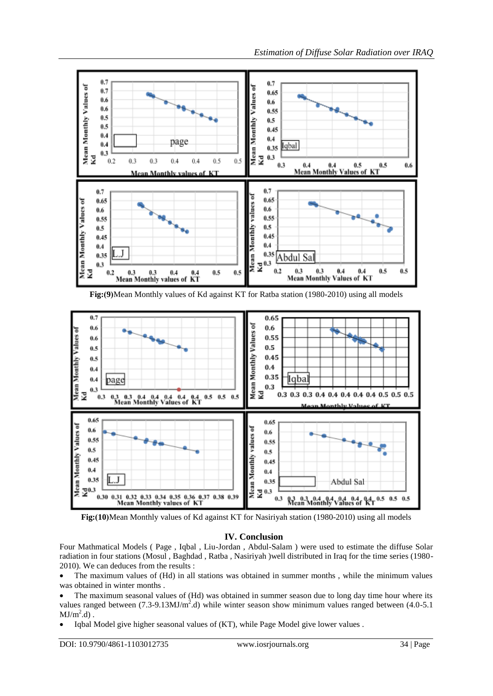

**Fig:)10(**Mean Monthly values of Kd against KT for Nasiriyah station (1980-2010) using all models

## **IV. Conclusion**

Four Mathmatical Models ( Page , Iqbal , Liu-Jordan , Abdul-Salam ) were used to estimate the diffuse Solar radiation in four stations (Mosul , Baghdad , Ratba , Nasiriyah )well distributed in Iraq for the time series (1980- 2010). We can deduces from the results :

 The maximum values of (Hd) in all stations was obtained in summer months , while the minimum values was obtained in winter months .

- The maximum seasonal values of (Hd) was obtained in summer season due to long day time hour where its values ranged between  $(7.3-9.13 MJ/m^2.d)$  while winter season show minimum values ranged between  $(4.0-5.1$  $MJ/m^2.d$ ).
- Iqbal Model give higher seasonal values of (KT), while Page Model give lower values .